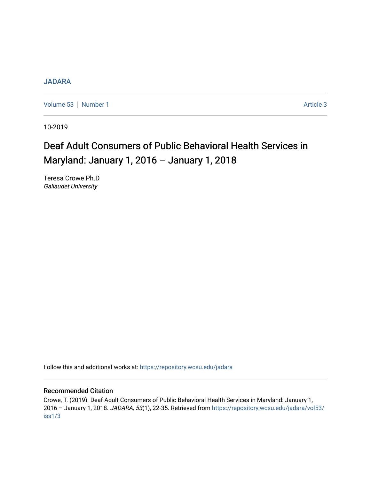# [JADARA](https://repository.wcsu.edu/jadara)

[Volume 53](https://repository.wcsu.edu/jadara/vol53) | [Number 1](https://repository.wcsu.edu/jadara/vol53/iss1) Article 3

10-2019

# Deaf Adult Consumers of Public Behavioral Health Services in Maryland: January 1, 2016 – January 1, 2018

Teresa Crowe Ph.D Gallaudet University

Follow this and additional works at: [https://repository.wcsu.edu/jadara](https://repository.wcsu.edu/jadara?utm_source=repository.wcsu.edu%2Fjadara%2Fvol53%2Fiss1%2F3&utm_medium=PDF&utm_campaign=PDFCoverPages)

#### Recommended Citation

Crowe, T. (2019). Deaf Adult Consumers of Public Behavioral Health Services in Maryland: January 1, 2016 – January 1, 2018. JADARA, 53(1), 22-35. Retrieved from [https://repository.wcsu.edu/jadara/vol53/](https://repository.wcsu.edu/jadara/vol53/iss1/3?utm_source=repository.wcsu.edu%2Fjadara%2Fvol53%2Fiss1%2F3&utm_medium=PDF&utm_campaign=PDFCoverPages) [iss1/3](https://repository.wcsu.edu/jadara/vol53/iss1/3?utm_source=repository.wcsu.edu%2Fjadara%2Fvol53%2Fiss1%2F3&utm_medium=PDF&utm_campaign=PDFCoverPages)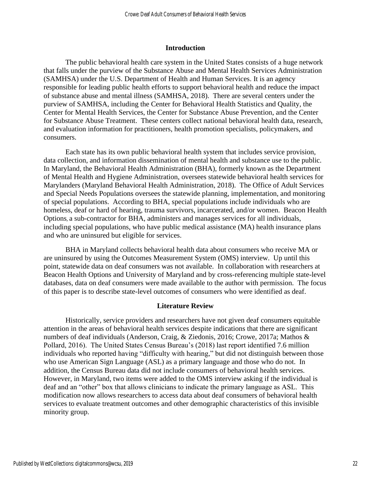#### **Introduction**

The public behavioral health care system in the United States consists of a huge network that falls under the purview of the Substance Abuse and Mental Health Services Administration (SAMHSA) under the U.S. Department of Health and Human Services. It is an agency responsible for leading public health efforts to support behavioral health and reduce the impact of substance abuse and mental illness (SAMHSA, 2018). There are several centers under the purview of SAMHSA, including the Center for Behavioral Health Statistics and Quality, the Center for Mental Health Services, the Center for Substance Abuse Prevention, and the Center for Substance Abuse Treatment. These centers collect national behavioral health data, research, and evaluation information for practitioners, health promotion specialists, policymakers, and consumers.

Each state has its own public behavioral health system that includes service provision, data collection, and information dissemination of mental health and substance use to the public. In Maryland, the Behavioral Health Administration (BHA), formerly known as the Department of Mental Health and Hygiene Administration, oversees statewide behavioral health services for Marylanders (Maryland Behavioral Health Administration, 2018). The Office of Adult Services and Special Needs Populations oversees the statewide planning, implementation, and monitoring of special populations. According to BHA, special populations include individuals who are homeless, deaf or hard of hearing, trauma survivors, incarcerated, and/or women. Beacon Health Options, a sub-contractor for BHA, administers and manages services for all individuals, including special populations, who have public medical assistance (MA) health insurance plans and who are uninsured but eligible for services.

BHA in Maryland collects behavioral health data about consumers who receive MA or are uninsured by using the Outcomes Measurement System (OMS) interview. Up until this point, statewide data on deaf consumers was not available. In collaboration with researchers at Beacon Health Options and University of Maryland and by cross-referencing multiple state-level databases, data on deaf consumers were made available to the author with permission. The focus of this paper is to describe state-level outcomes of consumers who were identified as deaf.

#### **Literature Review**

Historically, service providers and researchers have not given deaf consumers equitable attention in the areas of behavioral health services despite indications that there are significant numbers of deaf individuals (Anderson, Craig, & Ziedonis, 2016; Crowe, 2017a; Mathos & Pollard, 2016). The United States Census Bureau's (2018) last report identified 7.6 million individuals who reported having "difficulty with hearing," but did not distinguish between those who use American Sign Language (ASL) as a primary language and those who do not. In addition, the Census Bureau data did not include consumers of behavioral health services. However, in Maryland, two items were added to the OMS interview asking if the individual is deaf and an "other" box that allows clinicians to indicate the primary language as ASL. This modification now allows researchers to access data about deaf consumers of behavioral health services to evaluate treatment outcomes and other demographic characteristics of this invisible minority group.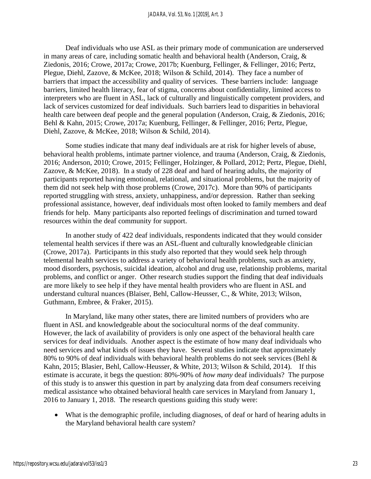Deaf individuals who use ASL as their primary mode of communication are underserved in many areas of care, including somatic health and behavioral health (Anderson, Craig, & Ziedonis, 2016; Crowe, 2017a; Crowe, 2017b; Kuenburg, Fellinger, & Fellinger, 2016; Pertz, Plegue, Diehl, Zazove, & McKee, 2018; Wilson & Schild, 2014). They face a number of barriers that impact the accessibility and quality of services. These barriers include: language barriers, limited health literacy, fear of stigma, concerns about confidentiality, limited access to interpreters who are fluent in ASL, lack of culturally and linguistically competent providers, and lack of services customized for deaf individuals. Such barriers lead to disparities in behavioral health care between deaf people and the general population (Anderson, Craig, & Ziedonis, 2016; Behl & Kahn, 2015; Crowe, 2017a; Kuenburg, Fellinger, & Fellinger, 2016; Pertz, Plegue, Diehl, Zazove, & McKee, 2018; Wilson & Schild, 2014).

Some studies indicate that many deaf individuals are at risk for higher levels of abuse, behavioral health problems, intimate partner violence, and trauma (Anderson, Craig, & Ziedonis, 2016; Anderson, 2010; Crowe, 2015; Fellinger, Holzinger, & Pollard, 2012; Pertz, Plegue, Diehl, Zazove, & McKee, 2018). In a study of 228 deaf and hard of hearing adults, the majority of participants reported having emotional, relational, and situational problems, but the majority of them did not seek help with those problems (Crowe, 2017c). More than 90% of participants reported struggling with stress, anxiety, unhappiness, and/or depression. Rather than seeking professional assistance, however, deaf individuals most often looked to family members and deaf friends for help. Many participants also reported feelings of discrimination and turned toward resources within the deaf community for support.

In another study of 422 deaf individuals, respondents indicated that they would consider telemental health services if there was an ASL-fluent and culturally knowledgeable clinician (Crowe, 2017a). Participants in this study also reported that they would seek help through telemental health services to address a variety of behavioral health problems, such as anxiety, mood disorders, psychosis, suicidal ideation, alcohol and drug use, relationship problems, marital problems, and conflict or anger. Other research studies support the finding that deaf individuals are more likely to see help if they have mental health providers who are fluent in ASL and understand cultural nuances (Blaiser, Behl, Callow-Heusser, C., & White, 2013; Wilson, Guthmann, Embree, & Fraker, 2015).

In Maryland, like many other states, there are limited numbers of providers who are fluent in ASL and knowledgeable about the sociocultural norms of the deaf community. However, the lack of availability of providers is only one aspect of the behavioral health care services for deaf individuals. Another aspect is the estimate of how many deaf individuals who need services and what kinds of issues they have. Several studies indicate that approximately 80% to 90% of deaf individuals with behavioral health problems do not seek services (Behl & Kahn, 2015; Blasier, Behl, Callow-Heusser, & White, 2013; Wilson & Schild, 2014). If this estimate is accurate, it begs the question: 80%-90% of *how many* deaf individuals? The purpose of this study is to answer this question in part by analyzing data from deaf consumers receiving medical assistance who obtained behavioral health care services in Maryland from January 1, 2016 to January 1, 2018. The research questions guiding this study were:

• What is the demographic profile, including diagnoses, of deaf or hard of hearing adults in the Maryland behavioral health care system?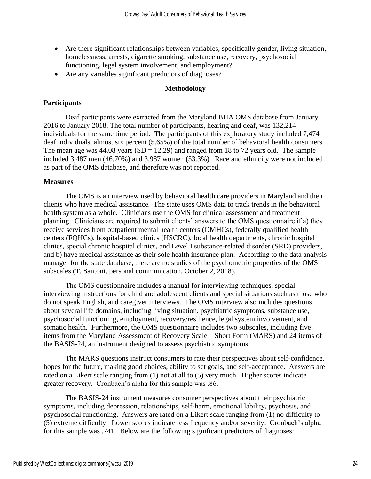- Are there significant relationships between variables, specifically gender, living situation, homelessness, arrests, cigarette smoking, substance use, recovery, psychosocial functioning, legal system involvement, and employment?
- Are any variables significant predictors of diagnoses?

## **Methodology**

# **Participants**

Deaf participants were extracted from the Maryland BHA OMS database from January 2016 to January 2018. The total number of participants, hearing and deaf, was 132,214 individuals for the same time period. The participants of this exploratory study included 7,474 deaf individuals, almost six percent (5.65%) of the total number of behavioral health consumers. The mean age was  $44.08$  years  $(SD = 12.29)$  and ranged from 18 to 72 years old. The sample included 3,487 men (46.70%) and 3,987 women (53.3%). Race and ethnicity were not included as part of the OMS database, and therefore was not reported.

## **Measures**

The OMS is an interview used by behavioral health care providers in Maryland and their clients who have medical assistance. The state uses OMS data to track trends in the behavioral health system as a whole. Clinicians use the OMS for clinical assessment and treatment planning. Clinicians are required to submit clients' answers to the OMS questionnaire if a) they receive services from outpatient mental health centers (OMHCs), federally qualified health centers (FQHCs), hospital-based clinics (HSCRC), local health departments, chronic hospital clinics, special chronic hospital clinics, and Level I substance-related disorder (SRD) providers, and b) have medical assistance as their sole health insurance plan. According to the data analysis manager for the state database, there are no studies of the psychometric properties of the OMS subscales (T. Santoni, personal communication, October 2, 2018).

The OMS questionnaire includes a manual for interviewing techniques, special interviewing instructions for child and adolescent clients and special situations such as those who do not speak English, and caregiver interviews. The OMS interview also includes questions about several life domains, including living situation, psychiatric symptoms, substance use, psychosocial functioning, employment, recovery/resilience, legal system involvement, and somatic health. Furthermore, the OMS questionnaire includes two subscales, including five items from the Maryland Assessment of Recovery Scale – Short Form (MARS) and 24 items of the BASIS-24, an instrument designed to assess psychiatric symptoms.

The MARS questions instruct consumers to rate their perspectives about self-confidence, hopes for the future, making good choices, ability to set goals, and self-acceptance. Answers are rated on a Likert scale ranging from (1) not at all to (5) very much. Higher scores indicate greater recovery. Cronbach's alpha for this sample was .86.

The BASIS-24 instrument measures consumer perspectives about their psychiatric symptoms, including depression, relationships, self-harm, emotional lability, psychosis, and psychosocial functioning. Answers are rated on a Likert scale ranging from (1) no difficulty to (5) extreme difficulty. Lower scores indicate less frequency and/or severity. Cronbach's alpha for this sample was .741. Below are the following significant predictors of diagnoses: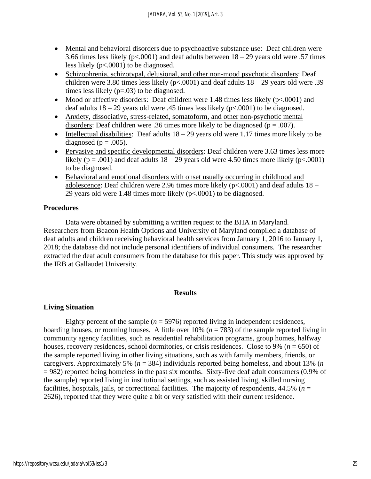- Mental and behavioral disorders due to psychoactive substance use: Deaf children were 3.66 times less likely ( $p < .0001$ ) and deaf adults between  $18 - 29$  years old were .57 times less likely (p<.0001) to be diagnosed.
- Schizophrenia, schizotypal, delusional, and other non-mood psychotic disorders: Deaf children were 3.80 times less likely ( $p<0.001$ ) and deaf adults  $18-29$  years old were .39 times less likely (p=.03) to be diagnosed.
- Mood or affective disorders: Deaf children were 1.48 times less likely (p<.0001) and deaf adults  $18 - 29$  years old were .45 times less likely ( $p \lt 0.0001$ ) to be diagnosed.
- Anxiety, dissociative, stress-related, somatoform, and other non-psychotic mental disorders: Deaf children were .36 times more likely to be diagnosed ( $p = .007$ ).
- Intellectual disabilities: Deaf adults  $18 29$  years old were 1.17 times more likely to be diagnosed ( $p = .005$ ).
- Pervasive and specific developmental disorders: Deaf children were 3.63 times less more likely ( $p = .001$ ) and deaf adults  $18 - 29$  years old were 4.50 times more likely ( $p < .0001$ ) to be diagnosed.
- Behavioral and emotional disorders with onset usually occurring in childhood and adolescence: Deaf children were 2.96 times more likely  $(p<.0001)$  and deaf adults  $18 -$ 29 years old were 1.48 times more likely (p<.0001) to be diagnosed.

# **Procedures**

Data were obtained by submitting a written request to the BHA in Maryland. Researchers from Beacon Health Options and University of Maryland compiled a database of deaf adults and children receiving behavioral health services from January 1, 2016 to January 1, 2018; the database did not include personal identifiers of individual consumers. The researcher extracted the deaf adult consumers from the database for this paper. This study was approved by the IRB at Gallaudet University.

## **Results**

# **Living Situation**

Eighty percent of the sample  $(n = 5976)$  reported living in independent residences, boarding houses, or rooming houses. A little over  $10\%$  ( $n = 783$ ) of the sample reported living in community agency facilities, such as residential rehabilitation programs, group homes, halfway houses, recovery residences, school dormitories, or crisis residences. Close to 9% (*n* = 650) of the sample reported living in other living situations, such as with family members, friends, or caregivers. Approximately 5% (*n* = 384) individuals reported being homeless, and about 13% (*n* = 982) reported being homeless in the past six months. Sixty-five deaf adult consumers (0.9% of the sample) reported living in institutional settings, such as assisted living, skilled nursing facilities, hospitals, jails, or correctional facilities. The majority of respondents,  $44.5\%$  ( $n =$ 2626), reported that they were quite a bit or very satisfied with their current residence.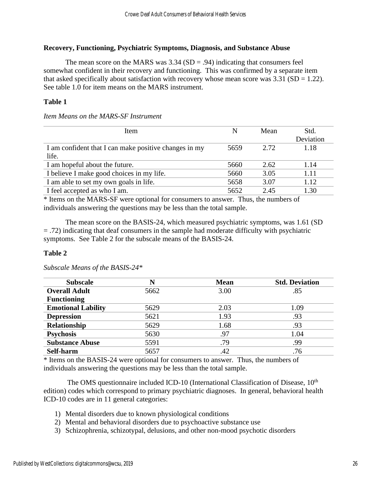# **Recovery, Functioning, Psychiatric Symptoms, Diagnosis, and Substance Abuse**

The mean score on the MARS was  $3.34$  (SD = .94) indicating that consumers feel somewhat confident in their recovery and functioning. This was confirmed by a separate item that asked specifically about satisfaction with recovery whose mean score was  $3.31$  (SD = 1.22). See table 1.0 for item means on the MARS instrument.

# **Table 1**

*Item Means on the MARS-SF Instrument*

| Item                                                  | N    | Mean  | Std.      |
|-------------------------------------------------------|------|-------|-----------|
|                                                       |      |       | Deviation |
| I am confident that I can make positive changes in my | 5659 | 2.72. | 1.18      |
| life.                                                 |      |       |           |
| I am hopeful about the future.                        | 5660 | 2.62  | 1.14      |
| I believe I make good choices in my life.             | 5660 | 3.05  | 1.11      |
| I am able to set my own goals in life.                | 5658 | 3.07  | 1.12      |
| I feel accepted as who I am.                          | 5652 | 2.45  | 1.30      |

\* Items on the MARS-SF were optional for consumers to answer. Thus, the numbers of individuals answering the questions may be less than the total sample.

The mean score on the BASIS-24, which measured psychiatric symptoms, was 1.61 (SD = .72) indicating that deaf consumers in the sample had moderate difficulty with psychiatric symptoms. See Table 2 for the subscale means of the BASIS-24.

# **Table 2**

| <b>Subscale</b>           | N    | <b>Mean</b> | <b>Std. Deviation</b> |
|---------------------------|------|-------------|-----------------------|
| <b>Overall Adult</b>      | 5662 | 3.00        | .85                   |
| <b>Functioning</b>        |      |             |                       |
| <b>Emotional Lability</b> | 5629 | 2.03        | 1.09                  |
| <b>Depression</b>         | 5621 | 1.93        | .93                   |
| <b>Relationship</b>       | 5629 | 1.68        | .93                   |
| <b>Psychosis</b>          | 5630 | .97         | 1.04                  |
| <b>Substance Abuse</b>    | 5591 | .79         | .99                   |
| Self-harm                 | 5657 | .42         | .76                   |

*Subscale Means of the BASIS-24\**

\* Items on the BASIS-24 were optional for consumers to answer. Thus, the numbers of individuals answering the questions may be less than the total sample.

The OMS questionnaire included ICD-10 (International Classification of Disease,  $10<sup>th</sup>$ edition) codes which correspond to primary psychiatric diagnoses. In general, behavioral health ICD-10 codes are in 11 general categories:

- 1) Mental disorders due to known physiological conditions
- 2) Mental and behavioral disorders due to psychoactive substance use
- 3) Schizophrenia, schizotypal, delusions, and other non-mood psychotic disorders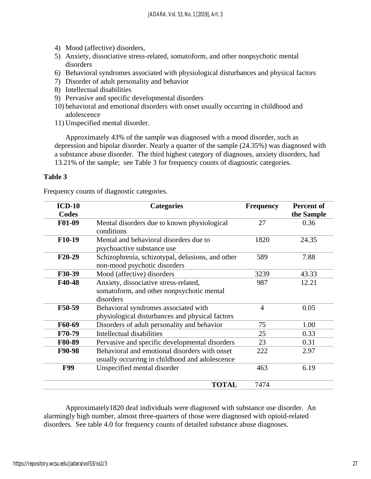- 4) Mood (affective) disorders,
- 5) Anxiety, dissociative stress-related, somatoform, and other nonpsychotic mental disorders
- 6) Behavioral syndromes associated with physiological disturbances and physical factors
- 7) Disorder of adult personality and behavior
- 8) Intellectual disabilities
- 9) Pervasive and specific developmental disorders
- 10) behavioral and emotional disorders with onset usually occurring in childhood and adolescence
- 11) Unspecified mental disorder.

Approximately 43% of the sample was diagnosed with a mood disorder, such as depression and bipolar disorder. Nearly a quarter of the sample (24.35%) was diagnosed with a substance abuse disorder. The third highest category of diagnoses, anxiety disorders, had 13.21% of the sample; see Table 3 for frequency counts of diagnostic categories.

# **Table 3**

Frequency counts of diagnostic categories.

| $ICD-10$<br>Codes   | <b>Categories</b>                                                                               | <b>Frequency</b> | <b>Percent of</b><br>the Sample |
|---------------------|-------------------------------------------------------------------------------------------------|------------------|---------------------------------|
| F01-09              | Mental disorders due to known physiological<br>conditions                                       | 27               | 0.36                            |
| F10-19              | Mental and behavioral disorders due to<br>psychoactive substance use                            | 1820             | 24.35                           |
| F <sub>20</sub> -29 | Schizophrenia, schizotypal, delusions, and other<br>non-mood psychotic disorders                | 589              | 7.88                            |
| F30-39              | Mood (affective) disorders                                                                      | 3239             | 43.33                           |
| F40-48              | Anxiety, dissociative stress-related,<br>somatoform, and other nonpsychotic mental<br>disorders | 987              | 12.21                           |
| F50-59              | Behavioral syndromes associated with<br>physiological disturbances and physical factors         | $\overline{4}$   | 0.05                            |
| F60-69              | Disorders of adult personality and behavior                                                     | 75               | 1.00                            |
| F70-79              | Intellectual disabilities                                                                       | 25               | 0.33                            |
| F80-89              | Pervasive and specific developmental disorders                                                  | 23               | 0.31                            |
| F90-98              | Behavioral and emotional disorders with onset<br>usually occurring in childhood and adolescence | 222              | 2.97                            |
| <b>F99</b>          | Unspecified mental disorder                                                                     | 463              | 6.19                            |
|                     | <b>TOTAL</b>                                                                                    | 7474             |                                 |

Approximately1820 deaf individuals were diagnosed with substance use disorder. An alarmingly high number, almost three-quarters of those were diagnosed with opioid-related disorders. See table 4.0 for frequency counts of detailed substance abuse diagnoses.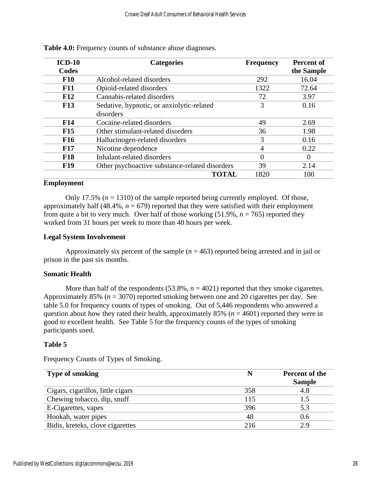| $ICD-10$   | <b>Categories</b>                              | <b>Frequency</b> | <b>Percent of</b> |
|------------|------------------------------------------------|------------------|-------------------|
| Codes      |                                                |                  | the Sample        |
| <b>F10</b> | Alcohol-related disorders                      | 292              | 16.04             |
| <b>F11</b> | Opioid-related disorders                       | 1322             | 72.64             |
| F12        | Cannabis-related disorders                     | 72               | 3.97              |
| <b>F13</b> | Sedative, hypnotic, or anxiolytic-related      | 3                | 0.16              |
|            | disorders                                      |                  |                   |
| <b>F14</b> | Cocaine-related disorders                      | 49               | 2.69              |
| F15        | Other stimulant-related disorders              | 36               | 1.98              |
| <b>F16</b> | Hallucinogen-related disorders                 | 3                | 0.16              |
| <b>F17</b> | Nicotine dependence                            | 4                | 0.22              |
| <b>F18</b> | Inhalant-related disorders                     | $\overline{0}$   | $\overline{0}$    |
| <b>F19</b> | Other psychoactive substance-related disorders | 39               | 2.14              |
|            | <b>TOTAL</b>                                   | 1820             | 100               |

**Table 4.0:** Frequency counts of substance abuse diagnoses.

# **Employment**

Only 17.5%  $(n = 1310)$  of the sample reported being currently employed. Of those, approximately half (48.4%,  $n = 679$ ) reported that they were satisfied with their employment from quite a bit to very much. Over half of those working  $(51.9\%, n = 765)$  reported they worked from 31 hours per week to more than 40 hours per week.

## **Legal System Involvement**

Approximately six percent of the sample  $(n = 463)$  reported being arrested and in jail or prison in the past six months.

# **Somatic Health**

More than half of the respondents  $(53.8\%, n = 4021)$  reported that they smoke cigarettes. Approximately 85% (*n* = 3070) reported smoking between one and 20 cigarettes per day. See table 5.0 for frequency counts of types of smoking. Out of 5,446 respondents who answered a question about how they rated their health, approximately 85% ( $n = 4601$ ) reported they were in good to excellent health. See Table 5 for the frequency counts of the types of smoking participants used.

# **Table 5**

Frequency Counts of Types of Smoking.

| <b>Type of smoking</b>            |     | Percent of the<br><b>Sample</b> |
|-----------------------------------|-----|---------------------------------|
| Cigars, cigarillos, little cigars | 358 | 4.8                             |
| Chewing tobacco, dip, snuff       | 115 |                                 |
| E-Cigarettes, vapes               | 396 | 5.3                             |
| Hookah, water pipes               | 48  | 0.6                             |
| Bidis, kreteks, clove cigarettes  | 216 | 2.9                             |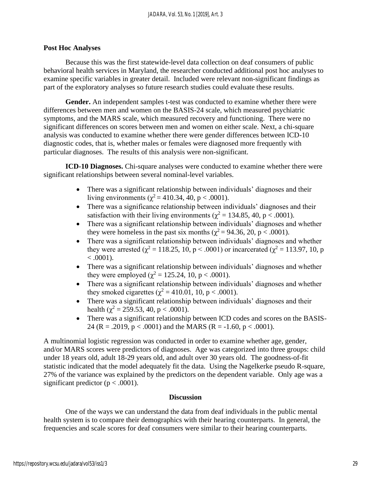## **Post Hoc Analyses**

Because this was the first statewide-level data collection on deaf consumers of public behavioral health services in Maryland, the researcher conducted additional post hoc analyses to examine specific variables in greater detail. Included were relevant non-significant findings as part of the exploratory analyses so future research studies could evaluate these results.

**Gender.** An independent samples t-test was conducted to examine whether there were differences between men and women on the BASIS-24 scale, which measured psychiatric symptoms, and the MARS scale, which measured recovery and functioning. There were no significant differences on scores between men and women on either scale. Next, a chi-square analysis was conducted to examine whether there were gender differences between ICD-10 diagnostic codes, that is, whether males or females were diagnosed more frequently with particular diagnoses. The results of this analysis were non-significant.

**ICD-10 Diagnoses.** Chi-square analyses were conducted to examine whether there were significant relationships between several nominal-level variables.

- There was a significant relationship between individuals' diagnoses and their living environments ( $\chi^2$  = 410.34, 40, p < .0001).
- There was a significance relationship between individuals' diagnoses and their satisfaction with their living environments ( $\chi^2$  = 134.85, 40, p < .0001).
- There was a significant relationship between individuals' diagnoses and whether they were homeless in the past six months ( $\chi^2$  = 94.36, 20, p < .0001).
- There was a significant relationship between individuals' diagnoses and whether they were arrested ( $\chi^2 = 118.25, 10, p < .0001$ ) or incarcerated ( $\chi^2 = 113.97, 10, p$  $< .0001$ ).
- There was a significant relationship between individuals' diagnoses and whether they were employed ( $\chi^2 = 125.24$ , 10, p < .0001).
- There was a significant relationship between individuals' diagnoses and whether they smoked cigarettes ( $\chi^2$  = 410.01, 10, p < .0001).
- There was a significant relationship between individuals' diagnoses and their health ( $\chi^2$  = 259.53, 40, p < .0001).
- There was a significant relationship between ICD codes and scores on the BASIS-24 (R = .2019,  $p < .0001$ ) and the MARS (R = -1.60,  $p < .0001$ ).

A multinomial logistic regression was conducted in order to examine whether age, gender, and/or MARS scores were predictors of diagnoses. Age was categorized into three groups: child under 18 years old, adult 18-29 years old, and adult over 30 years old. The goodness-of-fit statistic indicated that the model adequately fit the data. Using the Nagelkerke pseudo R-square, 27% of the variance was explained by the predictors on the dependent variable. Only age was a significant predictor ( $p < .0001$ ).

#### **Discussion**

One of the ways we can understand the data from deaf individuals in the public mental health system is to compare their demographics with their hearing counterparts. In general, the frequencies and scale scores for deaf consumers were similar to their hearing counterparts.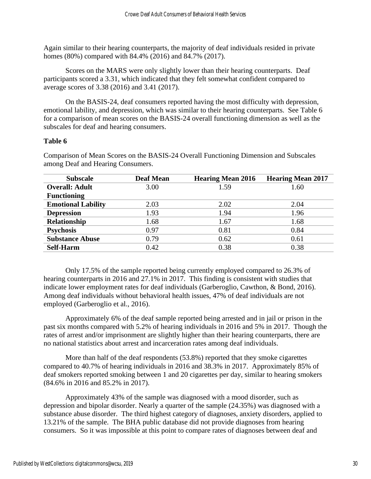Again similar to their hearing counterparts, the majority of deaf individuals resided in private homes (80%) compared with 84.4% (2016) and 84.7% (2017).

Scores on the MARS were only slightly lower than their hearing counterparts. Deaf participants scored a 3.31, which indicated that they felt somewhat confident compared to average scores of 3.38 (2016) and 3.41 (2017).

On the BASIS-24, deaf consumers reported having the most difficulty with depression, emotional lability, and depression, which was similar to their hearing counterparts. See Table 6 for a comparison of mean scores on the BASIS-24 overall functioning dimension as well as the subscales for deaf and hearing consumers.

# **Table 6**

| <b>Subscale</b>           | <b>Deaf Mean</b> | <b>Hearing Mean 2016</b> | <b>Hearing Mean 2017</b> |
|---------------------------|------------------|--------------------------|--------------------------|
| <b>Overall: Adult</b>     | 3.00             | 1.59                     | 1.60                     |
| <b>Functioning</b>        |                  |                          |                          |
| <b>Emotional Lability</b> | 2.03             | 2.02                     | 2.04                     |
| <b>Depression</b>         | 1.93             | 1.94                     | 1.96                     |
| Relationship              | 1.68             | 1.67                     | 1.68                     |
| <b>Psychosis</b>          | 0.97             | 0.81                     | 0.84                     |
| <b>Substance Abuse</b>    | 0.79             | 0.62                     | 0.61                     |
| <b>Self-Harm</b>          | 0.42             | 0.38                     | 0.38                     |

Comparison of Mean Scores on the BASIS-24 Overall Functioning Dimension and Subscales among Deaf and Hearing Consumers.

Only 17.5% of the sample reported being currently employed compared to 26.3% of hearing counterparts in 2016 and 27.1% in 2017. This finding is consistent with studies that indicate lower employment rates for deaf individuals (Garberoglio, Cawthon, & Bond, 2016). Among deaf individuals without behavioral health issues, 47% of deaf individuals are not employed (Garberoglio et al., 2016).

Approximately 6% of the deaf sample reported being arrested and in jail or prison in the past six months compared with 5.2% of hearing individuals in 2016 and 5% in 2017. Though the rates of arrest and/or imprisonment are slightly higher than their hearing counterparts, there are no national statistics about arrest and incarceration rates among deaf individuals.

More than half of the deaf respondents (53.8%) reported that they smoke cigarettes compared to 40.7% of hearing individuals in 2016 and 38.3% in 2017. Approximately 85% of deaf smokers reported smoking between 1 and 20 cigarettes per day, similar to hearing smokers (84.6% in 2016 and 85.2% in 2017).

Approximately 43% of the sample was diagnosed with a mood disorder, such as depression and bipolar disorder. Nearly a quarter of the sample (24.35%) was diagnosed with a substance abuse disorder. The third highest category of diagnoses, anxiety disorders, applied to 13.21% of the sample. The BHA public database did not provide diagnoses from hearing consumers. So it was impossible at this point to compare rates of diagnoses between deaf and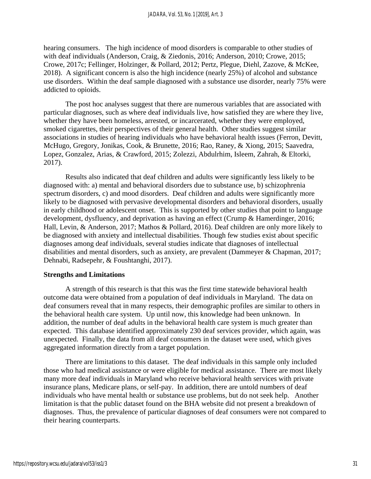hearing consumers. The high incidence of mood disorders is comparable to other studies of with deaf individuals (Anderson, Craig, & Ziedonis, 2016; Anderson, 2010; Crowe, 2015; Crowe, 2017c; Fellinger, Holzinger, & Pollard, 2012; Pertz, Plegue, Diehl, Zazove, & McKee, 2018). A significant concern is also the high incidence (nearly 25%) of alcohol and substance use disorders. Within the deaf sample diagnosed with a substance use disorder, nearly 75% were addicted to opioids.

The post hoc analyses suggest that there are numerous variables that are associated with particular diagnoses, such as where deaf individuals live, how satisfied they are where they live, whether they have been homeless, arrested, or incarcerated, whether they were employed, smoked cigarettes, their perspectives of their general health. Other studies suggest similar associations in studies of hearing individuals who have behavioral health issues (Ferron, Devitt, McHugo, Gregory, Jonikas, Cook, & Brunette, 2016; Rao, Raney, & Xiong, 2015; Saavedra, Lopez, Gonzalez, Arias, & Crawford, 2015; Zolezzi, Abdulrhim, Isleem, Zahrah, & Eltorki, 2017).

Results also indicated that deaf children and adults were significantly less likely to be diagnosed with: a) mental and behavioral disorders due to substance use, b) schizophrenia spectrum disorders, c) and mood disorders. Deaf children and adults were significantly more likely to be diagnosed with pervasive developmental disorders and behavioral disorders, usually in early childhood or adolescent onset. This is supported by other studies that point to language development, dysfluency, and deprivation as having an effect (Crump & Hamerdinger, 2016; Hall, Levin, & Anderson, 2017; Mathos & Pollard, 2016). Deaf children are only more likely to be diagnosed with anxiety and intellectual disabilities. Though few studies exist about specific diagnoses among deaf individuals, several studies indicate that diagnoses of intellectual disabilities and mental disorders, such as anxiety, are prevalent (Dammeyer & Chapman, 2017; Dehnabi, Radsepehr, & Foushtanghi, 2017).

# **Strengths and Limitations**

A strength of this research is that this was the first time statewide behavioral health outcome data were obtained from a population of deaf individuals in Maryland. The data on deaf consumers reveal that in many respects, their demographic profiles are similar to others in the behavioral health care system. Up until now, this knowledge had been unknown. In addition, the number of deaf adults in the behavioral health care system is much greater than expected. This database identified approximately 230 deaf services provider, which again, was unexpected. Finally, the data from all deaf consumers in the dataset were used, which gives aggregated information directly from a target population.

There are limitations to this dataset. The deaf individuals in this sample only included those who had medical assistance or were eligible for medical assistance. There are most likely many more deaf individuals in Maryland who receive behavioral health services with private insurance plans, Medicare plans, or self-pay. In addition, there are untold numbers of deaf individuals who have mental health or substance use problems, but do not seek help. Another limitation is that the public dataset found on the BHA website did not present a breakdown of diagnoses. Thus, the prevalence of particular diagnoses of deaf consumers were not compared to their hearing counterparts.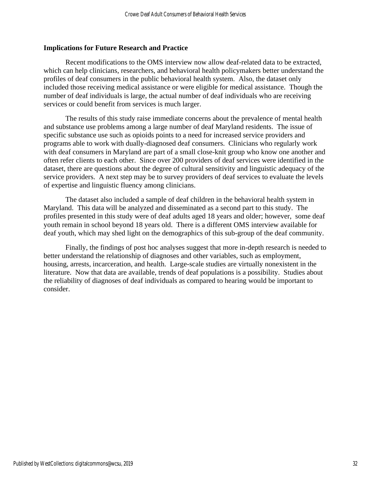## **Implications for Future Research and Practice**

Recent modifications to the OMS interview now allow deaf-related data to be extracted, which can help clinicians, researchers, and behavioral health policymakers better understand the profiles of deaf consumers in the public behavioral health system. Also, the dataset only included those receiving medical assistance or were eligible for medical assistance. Though the number of deaf individuals is large, the actual number of deaf individuals who are receiving services or could benefit from services is much larger.

The results of this study raise immediate concerns about the prevalence of mental health and substance use problems among a large number of deaf Maryland residents. The issue of specific substance use such as opioids points to a need for increased service providers and programs able to work with dually-diagnosed deaf consumers. Clinicians who regularly work with deaf consumers in Maryland are part of a small close-knit group who know one another and often refer clients to each other. Since over 200 providers of deaf services were identified in the dataset, there are questions about the degree of cultural sensitivity and linguistic adequacy of the service providers. A next step may be to survey providers of deaf services to evaluate the levels of expertise and linguistic fluency among clinicians.

The dataset also included a sample of deaf children in the behavioral health system in Maryland. This data will be analyzed and disseminated as a second part to this study. The profiles presented in this study were of deaf adults aged 18 years and older; however, some deaf youth remain in school beyond 18 years old. There is a different OMS interview available for deaf youth, which may shed light on the demographics of this sub-group of the deaf community.

Finally, the findings of post hoc analyses suggest that more in-depth research is needed to better understand the relationship of diagnoses and other variables, such as employment, housing, arrests, incarceration, and health. Large-scale studies are virtually nonexistent in the literature. Now that data are available, trends of deaf populations is a possibility. Studies about the reliability of diagnoses of deaf individuals as compared to hearing would be important to consider.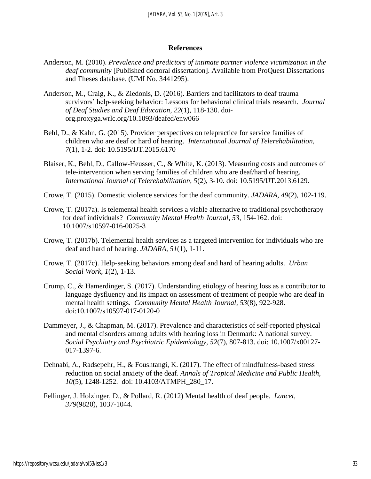#### **References**

- Anderson, M. (2010). *Prevalence and predictors of intimate partner violence victimization in the deaf community* [Published doctoral dissertation]. Available from ProQuest Dissertations and Theses database. (UMI No. 3441295).
- Anderson, M., Craig, K., & Ziedonis, D. (2016). Barriers and facilitators to deaf trauma survivors' help-seeking behavior: Lessons for behavioral clinical trials research. *Journal of Deaf Studies and Deaf Education, 22*(1), 118-130. doiorg.proxyga.wrlc.org/10.1093/deafed/enw066
- Behl, D., & Kahn, G. (2015). Provider perspectives on telepractice for service families of children who are deaf or hard of hearing. *International Journal of Telerehabilitation, 7*(1), 1-2. doi: 10.5195/IJT.2015.6170
- Blaiser, K., Behl, D., Callow-Heusser, C., & White, K. (2013). Measuring costs and outcomes of tele-intervention when serving families of children who are deaf/hard of hearing. *International Journal of Telerehabilitation, 5*(2), 3-10. doi: 10.5195/IJT.2013.6129.
- Crowe, T. (2015). Domestic violence services for the deaf community. *JADARA, 49*(2), 102-119.
- Crowe, T. (2017a). Is telemental health services a viable alternative to traditional psychotherapy for deaf individuals? *Community Mental Health Journal, 53,* 154-162. doi: 10.1007/s10597-016-0025-3
- Crowe, T. (2017b). Telemental health services as a targeted intervention for individuals who are deaf and hard of hearing. *JADARA, 51*(1), 1-11.
- Crowe, T. (2017c). Help-seeking behaviors among deaf and hard of hearing adults. *Urban Social Work, 1*(2), 1-13.
- Crump, C., & Hamerdinger, S. (2017). Understanding etiology of hearing loss as a contributor to language dysfluency and its impact on assessment of treatment of people who are deaf in mental health settings. *Community Mental Health Journal, 53*(8), 922-928. doi:10.1007/s10597-017-0120-0
- Dammeyer, J., & Chapman, M. (2017). Prevalence and characteristics of self-reported physical and mental disorders among adults with hearing loss in Denmark: A national survey. *Social Psychiatry and Psychiatric Epidemiology, 52*(7), 807-813. doi: 10.1007/x00127- 017-1397-6.
- Dehnabi, A., Radsepehr, H., & Foushtangi, K. (2017). The effect of mindfulness-based stress reduction on social anxiety of the deaf. *Annals of Tropical Medicine and Public Health, 10*(5), 1248-1252.doi: 10.4103/ATMPH\_280\_17.
- Fellinger, J. Holzinger, D., & Pollard, R. (2012) Mental health of deaf people. *Lancet, 379*(9820), 1037-1044.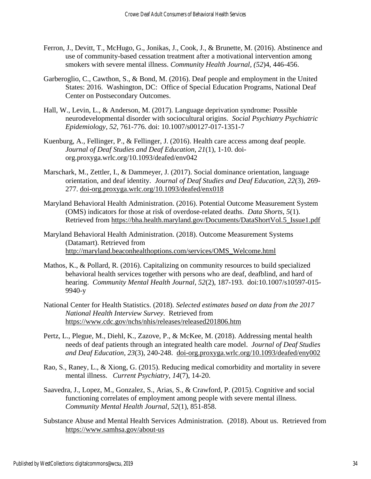- Ferron, J., Devitt, T., McHugo, G., Jonikas, J., Cook, J., & Brunette, M. (2016). Abstinence and use of community-based cessation treatment after a motivational intervention among smokers with severe mental illness. *Community Health Journal, (52*)4, 446-456.
- Garberoglio, C., Cawthon, S., & Bond, M. (2016). Deaf people and employment in the United States: 2016. Washington, DC: Office of Special Education Programs, National Deaf Center on Postsecondary Outcomes.
- Hall, W., Levin, L., & Anderson, M. (2017). Language deprivation syndrome: Possible neurodevelopmental disorder with sociocultural origins. *Social Psychiatry Psychiatric Epidemiology, 52,* 761-776. doi: 10.1007/s00127-017-1351-7
- Kuenburg, A., Fellinger, P., & Fellinger, J. (2016). Health care access among deaf people. *Journal of Deaf Studies and Deaf Education, 21*(1), 1-10. doiorg.proxyga.wrlc.org/10.1093/deafed/env042
- Marschark, M., Zettler, I., & Dammeyer, J. (2017). Social dominance orientation, language orientation, and deaf identity. *Journal of Deaf Studies and Deaf Education, 22*(3), 269- 277. doi-org.proxyga.wrlc.org/10.1093/deafed/enx018
- Maryland Behavioral Health Administration. (2016). Potential Outcome Measurement System (OMS) indicators for those at risk of overdose-related deaths. *Data Shorts, 5*(1). Retrieved from https://bha.health.maryland.gov/Documents/DataShortVol.5\_Issue1.pdf
- Maryland Behavioral Health Administration. (2018). Outcome Measurement Systems (Datamart). Retrieved from [http://maryland.beaconhealthoptions.com/services/OMS\\_Welcome.html](http://maryland.beaconhealthoptions.com/services/OMS_Welcome.html)
- Mathos, K., & Pollard, R. (2016). Capitalizing on community resources to build specialized behavioral health services together with persons who are deaf, deafblind, and hard of hearing. *Community Mental Health Journal, 52*(2), 187-193. doi:10.1007/s10597-015- 9940-y
- National Center for Health Statistics. (2018). *Selected estimates based on data from the 2017 National Health Interview Survey*. Retrieved from <https://www.cdc.gov/nchs/nhis/releases/released201806.htm>
- Pertz, L., Plegue, M., Diehl, K., Zazove, P., & McKee, M. (2018). Addressing mental health needs of deaf patients through an integrated health care model. *Journal of Deaf Studies and Deaf Education, 23*(3), 240-248. [doi-org.proxyga.wrlc.org/10.1093/deafed/eny002](https://doi-org.proxyga.wrlc.org/10.1093/deafed/eny002)
- Rao, S., Raney, L., & Xiong, G. (2015). Reducing medical comorbidity and mortality in severe mental illness. *Current Psychiatry, 14*(7), 14-20.
- Saavedra, J., Lopez, M., Gonzalez, S., Arias, S., & Crawford, P. (2015). Cognitive and social functioning correlates of employment among people with severe mental illness. *Community Mental Health Journal, 52*(1), 851-858.
- Substance Abuse and Mental Health Services Administration. (2018). About us. Retrieved from <https://www.samhsa.gov/about-us>